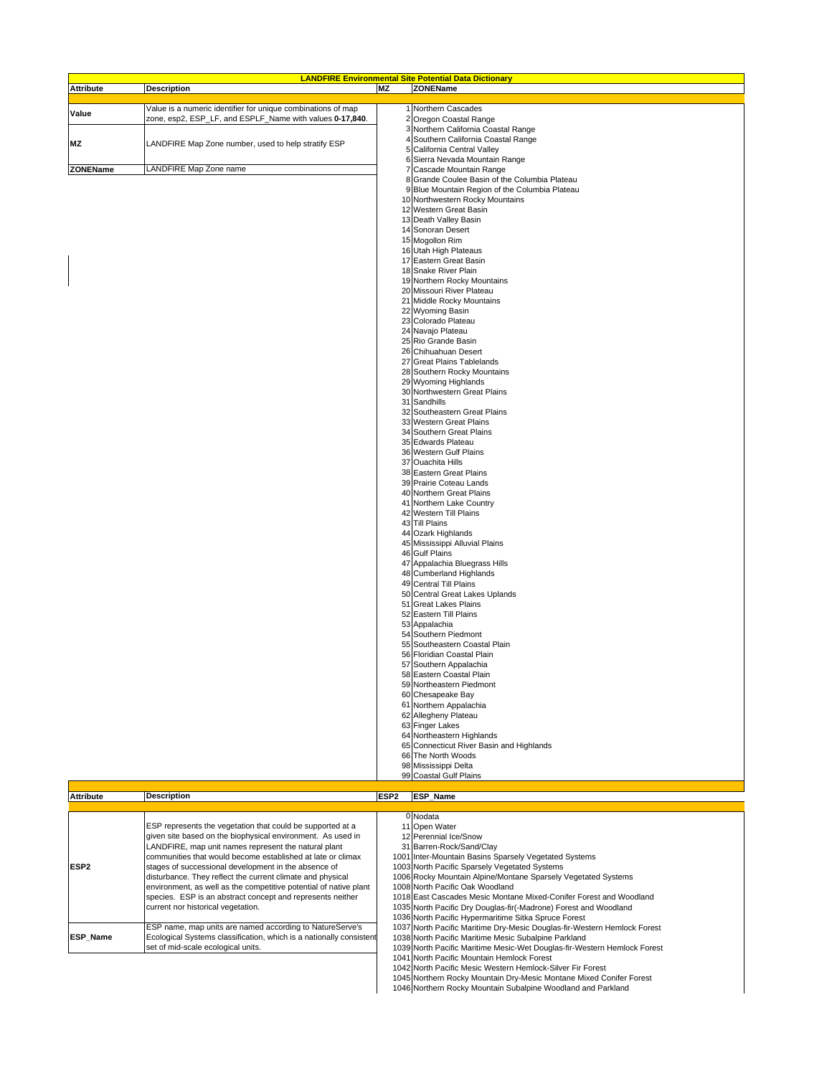| <b>LANDFIRE Environmental Site Potential Data Dictionary</b> |                                                              |           |                                                           |  |
|--------------------------------------------------------------|--------------------------------------------------------------|-----------|-----------------------------------------------------------|--|
| <b>Attribute</b>                                             | <b>Description</b>                                           | <b>MZ</b> | <b>ZONEName</b>                                           |  |
|                                                              |                                                              |           |                                                           |  |
| Value                                                        | Value is a numeric identifier for unique combinations of map |           | Northern Cascades                                         |  |
|                                                              | zone, esp2, ESP_LF, and ESPLF_Name with values 0-17,840.     | 2         | Oregon Coastal Range<br>Northern California Coastal Range |  |
|                                                              |                                                              |           | Southern California Coastal Range                         |  |
| <b>MZ</b>                                                    | LANDFIRE Map Zone number, used to help stratify ESP          | 5         | California Central Valley                                 |  |
|                                                              |                                                              |           | 6 Sierra Nevada Mountain Range                            |  |
| ZONEName                                                     | LANDFIRE Map Zone name                                       |           | Cascade Mountain Range                                    |  |
|                                                              |                                                              |           | 8 Grande Coulee Basin of the Columbia Plateau             |  |
|                                                              |                                                              |           | 9 Blue Mountain Region of the Columbia Plateau            |  |
|                                                              |                                                              |           | 10 Northwestern Rocky Mountains                           |  |
|                                                              |                                                              |           | 12 Western Great Basin                                    |  |
|                                                              |                                                              |           | 13 Death Valley Basin                                     |  |
|                                                              |                                                              |           | 14 Sonoran Desert                                         |  |
|                                                              |                                                              |           | 15 Mogollon Rim<br>16 Utah High Plateaus                  |  |
|                                                              |                                                              |           | 17 Eastern Great Basin                                    |  |
|                                                              |                                                              |           | 18 Snake River Plain                                      |  |
|                                                              |                                                              |           | 19 Northern Rocky Mountains                               |  |
|                                                              |                                                              |           | 20 Missouri River Plateau                                 |  |
|                                                              |                                                              |           | 21 Middle Rocky Mountains                                 |  |
|                                                              |                                                              |           | 22 Wyoming Basin                                          |  |
|                                                              |                                                              |           | 23 Colorado Plateau                                       |  |
|                                                              |                                                              |           | 24 Navajo Plateau                                         |  |
|                                                              |                                                              |           | 25 Rio Grande Basin                                       |  |
|                                                              |                                                              |           | 26 Chihuahuan Desert                                      |  |
|                                                              |                                                              |           | 27 Great Plains Tablelands                                |  |
|                                                              |                                                              |           | 28 Southern Rocky Mountains                               |  |
|                                                              |                                                              |           | 29 Wyoming Highlands<br>30 Northwestern Great Plains      |  |
|                                                              |                                                              |           | 31 Sandhills                                              |  |
|                                                              |                                                              |           | 32 Southeastern Great Plains                              |  |
|                                                              |                                                              |           | 33 Western Great Plains                                   |  |
|                                                              |                                                              |           | 34 Southern Great Plains                                  |  |
|                                                              |                                                              |           | 35 Edwards Plateau                                        |  |
|                                                              |                                                              |           | 36 Western Gulf Plains                                    |  |
|                                                              |                                                              |           | 37 Ouachita Hills                                         |  |
|                                                              |                                                              |           | 38 Eastern Great Plains                                   |  |
|                                                              |                                                              |           | 39 Prairie Coteau Lands                                   |  |
|                                                              |                                                              |           | 40 Northern Great Plains                                  |  |
|                                                              |                                                              |           | 41 Northern Lake Country<br>42 Western Till Plains        |  |
|                                                              |                                                              |           | 43 Till Plains                                            |  |
|                                                              |                                                              |           | 44 Ozark Highlands                                        |  |
|                                                              |                                                              |           | 45 Mississippi Alluvial Plains                            |  |
|                                                              |                                                              |           | 46 Gulf Plains                                            |  |
|                                                              |                                                              |           | 47 Appalachia Bluegrass Hills                             |  |
|                                                              |                                                              |           | 48 Cumberland Highlands                                   |  |
|                                                              |                                                              |           | 49 Central Till Plains                                    |  |
|                                                              |                                                              |           | 50 Central Great Lakes Uplands                            |  |
|                                                              |                                                              |           | 51 Great Lakes Plains                                     |  |
|                                                              |                                                              |           | 52 Eastern Till Plains                                    |  |
|                                                              |                                                              |           | 53 Appalachia<br>54 Southern Piedmont                     |  |
|                                                              |                                                              |           | 55 Southeastern Coastal Plain                             |  |
|                                                              |                                                              |           | 56 Floridian Coastal Plain                                |  |
|                                                              |                                                              |           | 57 Southern Appalachia                                    |  |
|                                                              |                                                              |           | 58 Eastern Coastal Plain                                  |  |
|                                                              |                                                              |           | 59 Northeastern Piedmont                                  |  |
|                                                              |                                                              |           | 60 Chesapeake Bay                                         |  |
|                                                              |                                                              |           | 61 Northern Appalachia                                    |  |
|                                                              |                                                              |           | 62 Allegheny Plateau                                      |  |
|                                                              |                                                              |           | 63 Finger Lakes                                           |  |
|                                                              |                                                              |           | 64 Northeastern Highlands                                 |  |
|                                                              |                                                              |           | 65 Connecticut River Basin and Highlands                  |  |
|                                                              |                                                              |           | 66 The North Woods                                        |  |
|                                                              |                                                              |           | 98 Mississippi Delta<br>99 Coastal Gulf Plains            |  |
|                                                              |                                                              |           |                                                           |  |
| <b>Attributo</b>                                             | <b>Decription</b>                                            |           | <b>ESP2 ESP</b> Name                                      |  |

| <b>Attribute</b> | <b>Description</b>                                                  | ESP <sub>2</sub> | <b>ESP Name</b>                                                          |
|------------------|---------------------------------------------------------------------|------------------|--------------------------------------------------------------------------|
|                  |                                                                     |                  |                                                                          |
|                  |                                                                     |                  | 0 Nodata                                                                 |
| ESP <sub>2</sub> | ESP represents the vegetation that could be supported at a          |                  | 11 Open Water                                                            |
|                  | given site based on the biophysical environment. As used in         |                  | 12 Perennial Ice/Snow                                                    |
|                  | LANDFIRE, map unit names represent the natural plant                |                  | 31 Barren-Rock/Sand/Clay                                                 |
|                  | communities that would become established at late or climax         |                  | 1001 Inter-Mountain Basins Sparsely Vegetated Systems                    |
|                  | stages of successional development in the absence of                |                  | 1003 North Pacific Sparsely Vegetated Systems                            |
|                  | disturbance. They reflect the current climate and physical          |                  | 1006 Rocky Mountain Alpine/Montane Sparsely Vegetated Systems            |
|                  | environment, as well as the competitive potential of native plant   |                  | 1008 North Pacific Oak Woodland                                          |
|                  | species. ESP is an abstract concept and represents neither          |                  | 1018 East Cascades Mesic Montane Mixed-Conifer Forest and Woodland       |
|                  | current nor historical vegetation.                                  |                  | 1035 North Pacific Dry Douglas-fir(-Madrone) Forest and Woodland         |
|                  |                                                                     |                  | 1036 North Pacific Hypermaritime Sitka Spruce Forest                     |
| <b>ESP Name</b>  | ESP name, map units are named according to NatureServe's            |                  | 1037 North Pacific Maritime Dry-Mesic Douglas-fir-Western Hemlock Forest |
|                  | Ecological Systems classification, which is a nationally consistent |                  | 1038 North Pacific Maritime Mesic Subalpine Parkland                     |
|                  | set of mid-scale ecological units.                                  |                  | 1039 North Pacific Maritime Mesic-Wet Douglas-fir-Western Hemlock Forest |
|                  |                                                                     |                  | 1041 North Pacific Mountain Hemlock Forest                               |
|                  |                                                                     |                  | 1042 North Pacific Mesic Western Hemlock-Silver Fir Forest               |
|                  |                                                                     |                  | 1045 Northern Rocky Mountain Dry-Mesic Montane Mixed Conifer Forest      |
|                  |                                                                     |                  | 1046 Northern Rocky Mountain Subalpine Woodland and Parkland             |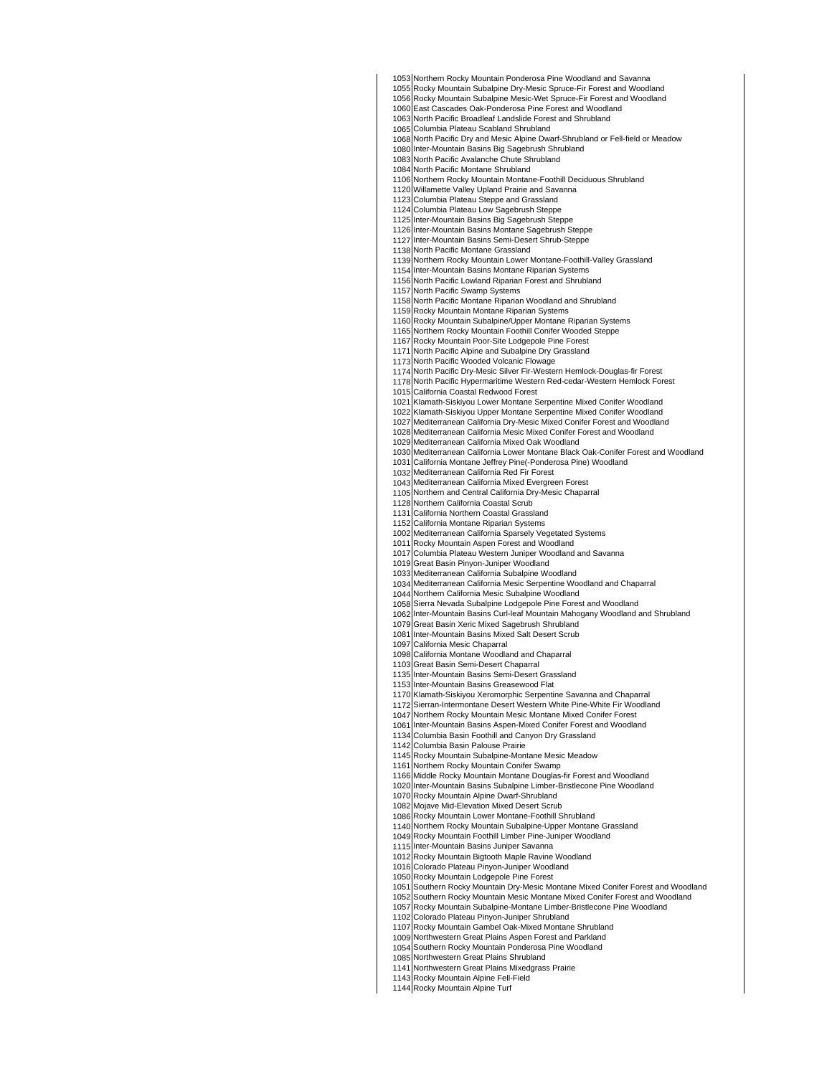Northern Rocky Mountain Ponderosa Pine Woodland and Savanna

Rocky Mountain Subalpine Dry-Mesic Spruce-Fir Forest and Woodland

 Rocky Mountain Subalpine Mesic-Wet Spruce-Fir Forest and Woodland

 East Cascades Oak-Ponderosa Pine Forest and Woodland North Pacific Broadleaf Landslide Forest and Shrubland

 Columbia Plateau Scabland Shrubland

 North Pacific Dry and Mesic Alpine Dwarf-Shrubland or Fell-field or Meadow

 Inter-Mountain Basins Big Sagebrush Shrubland North Pacific Avalanche Chute Shrubland

 North Pacific Montane Shrubland

Northern Rocky Mountain Montane-Foothill Deciduous Shrubland

Willamette Valley Upland Prairie and Savanna

 Columbia Plateau Steppe and Grassland

Columbia Plateau Low Sagebrush Steppe

Inter-Mountain Basins Big Sagebrush Steppe

Inter-Mountain Basins Montane Sagebrush Steppe

 Inter-Mountain Basins Semi-Desert Shrub-Steppe

 North Pacific Montane Grassland

Northern Rocky Mountain Lower Montane-Foothill-Valley Grassland

Inter-Mountain Basins Montane Riparian Systems

 North Pacific Lowland Riparian Forest and Shrubland North Pacific Swamp Systems

North Pacific Montane Riparian Woodland and Shrubland

Rocky Mountain Montane Riparian Systems

Rocky Mountain Subalpine/Upper Montane Riparian Systems

Northern Rocky Mountain Foothill Conifer Wooded Steppe

 Rocky Mountain Poor-Site Lodgepole Pine Forest

 North Pacific Alpine and Subalpine Dry Grassland

North Pacific Wooded Volcanic Flowage

North Pacific Dry-Mesic Silver Fir-Western Hemlock-Douglas-fir Forest

North Pacific Hypermaritime Western Red-cedar-Western Hemlock Forest

California Coastal Redwood Forest

 Klamath-Siskiyou Lower Montane Serpentine Mixed Conifer Woodland

Klamath-Siskiyou Upper Montane Serpentine Mixed Conifer Woodland

 Mediterranean California Dry-Mesic Mixed Conifer Forest and Woodland

Mediterranean California Mesic Mixed Conifer Forest and Woodland

Mediterranean California Mixed Oak Woodland

Mediterranean California Lower Montane Black Oak-Conifer Forest and Woodland

 California Montane Jeffrey Pine(-Ponderosa Pine) Woodland

 Mediterranean California Red Fir Forest

Mediterranean California Mixed Evergreen Forest

Northern and Central California Dry-Mesic Chaparral

Northern California Coastal Scrub

 California Northern Coastal Grassland

 California Montane Riparian Systems

Mediterranean California Sparsely Vegetated Systems

 Rocky Mountain Aspen Forest and Woodland

 Columbia Plateau Western Juniper Woodland and Savanna

Great Basin Pinyon-Juniper Woodland

 Mediterranean California Subalpine Woodland

Mediterranean California Mesic Serpentine Woodland and Chaparral

Northern California Mesic Subalpine Woodland

1062 Sierra Nevada Subalpine Lodgepole Pine Forest and Woodland Inter-Mountain Basins Curl-leaf Mountain Mahogany Woodland and Shrubland

 Great Basin Xeric Mixed Sagebrush Shrubland

 Inter-Mountain Basins Mixed Salt Desert Scrub

 California Mesic Chaparral

California Montane Woodland and Chaparral

Great Basin Semi-Desert Chaparral

 Inter-Mountain Basins Semi-Desert Grassland

Inter-Mountain Basins Greasewood Flat

Klamath-Siskiyou Xeromorphic Serpentine Savanna and Chaparral

Sierran-Intermontane Desert Western White Pine-White Fir Woodland

 Northern Rocky Mountain Mesic Montane Mixed Conifer Forest

 Inter-Mountain Basins Aspen-Mixed Conifer Forest and Woodland Columbia Basin Foothill and Canyon Dry Grassland

 Columbia Basin Palouse Prairie

Rocky Mountain Subalpine-Montane Mesic Meadow

 Northern Rocky Mountain Conifer Swamp

Middle Rocky Mountain Montane Douglas-fir Forest and Woodland

Inter-Mountain Basins Subalpine Limber-Bristlecone Pine Woodland

 Rocky Mountain Alpine Dwarf-Shrubland

Mojave Mid-Elevation Mixed Desert Scrub

 Rocky Mountain Lower Montane-Foothill Shrubland

Northern Rocky Mountain Subalpine-Upper Montane Grassland

Rocky Mountain Foothill Limber Pine-Juniper Woodland

 Inter-Mountain Basins Juniper Savanna

 Rocky Mountain Bigtooth Maple Ravine Woodland Colorado Plateau Pinyon-Juniper Woodland

Rocky Mountain Lodgepole Pine Forest

 Southern Rocky Mountain Dry-Mesic Montane Mixed Conifer Forest and Woodland

 Southern Rocky Mountain Mesic Montane Mixed Conifer Forest and Woodland

Rocky Mountain Subalpine-Montane Limber-Bristlecone Pine Woodland

 Colorado Plateau Pinyon-Juniper Shrubland

Rocky Mountain Gambel Oak-Mixed Montane Shrubland

 Northwestern Great Plains Aspen Forest and Parkland

 Southern Rocky Mountain Ponderosa Pine Woodland Northwestern Great Plains Shrubland

 Northwestern Great Plains Mixedgrass Prairie

Rocky Mountain Alpine Fell-Field

Rocky Mountain Alpine Turf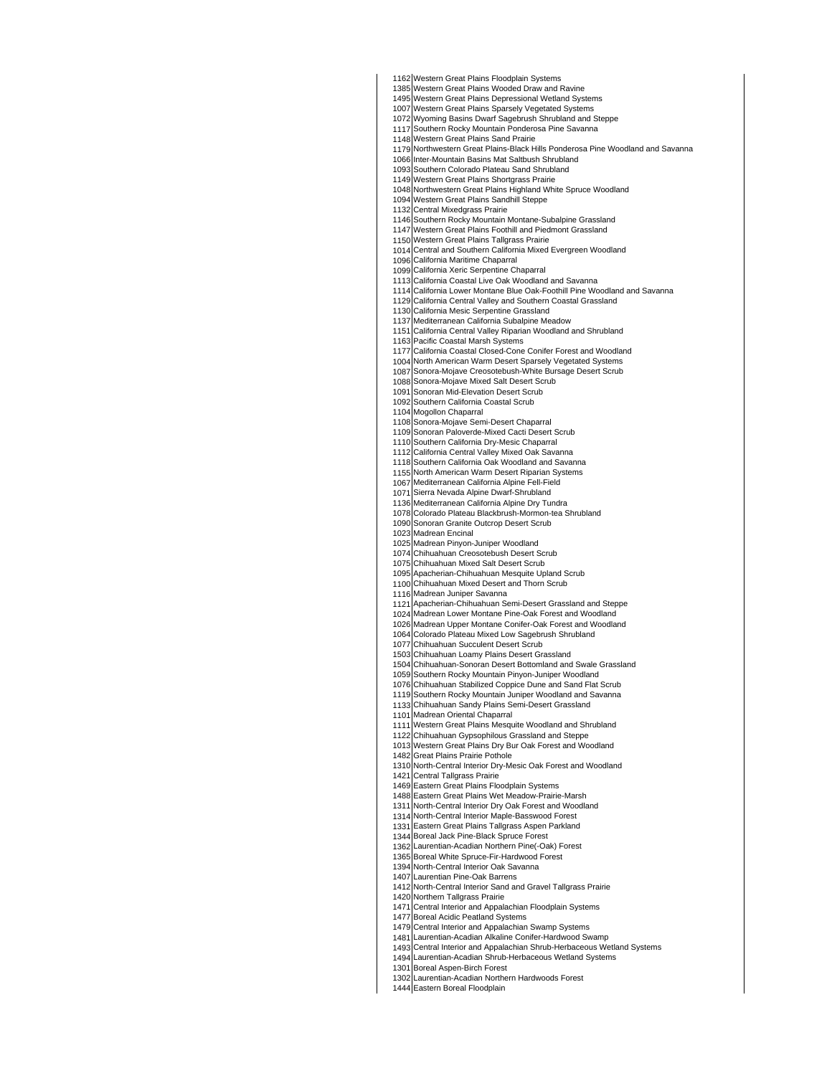Western Great Plains Floodplain Systems

Western Great Plains Wooded Draw and Ravine

 Western Great Plains Depressional Wetland Systems

 Western Great Plains Sparsely Vegetated Systems

Wyoming Basins Dwarf Sagebrush Shrubland and Steppe

 Southern Rocky Mountain Ponderosa Pine Savanna

Western Great Plains Sand Prairie

Northwestern Great Plains-Black Hills Ponderosa Pine Woodland and Savanna

Inter-Mountain Basins Mat Saltbush Shrubland

 Southern Colorado Plateau Sand Shrubland

 Western Great Plains Shortgrass Prairie

Northwestern Great Plains Highland White Spruce Woodland

Western Great Plains Sandhill Steppe

Central Mixedgrass Prairie

 Southern Rocky Mountain Montane-Subalpine Grassland

 Western Great Plains Foothill and Piedmont Grassland

 Western Great Plains Tallgrass Prairie

 Central and Southern California Mixed Evergreen Woodland

California Maritime Chaparral

California Xeric Serpentine Chaparral

California Coastal Live Oak Woodland and Savanna

California Lower Montane Blue Oak-Foothill Pine Woodland and Savanna

California Central Valley and Southern Coastal Grassland

California Mesic Serpentine Grassland

 Mediterranean California Subalpine Meadow

California Central Valley Riparian Woodland and Shrubland

Pacific Coastal Marsh Systems

 California Coastal Closed-Cone Conifer Forest and Woodland

North American Warm Desert Sparsely Vegetated Systems

 Sonora-Mojave Creosotebush-White Bursage Desert Scrub

Sonora-Mojave Mixed Salt Desert Scrub

 Sonoran Mid-Elevation Desert Scrub

 Southern California Coastal Scrub

Mogollon Chaparral

Sonora-Mojave Semi-Desert Chaparral

Sonoran Paloverde-Mixed Cacti Desert Scrub

 Southern California Dry-Mesic Chaparral

California Central Valley Mixed Oak Savanna

Southern California Oak Woodland and Savanna

North American Warm Desert Riparian Systems

Mediterranean California Alpine Fell-Field

Sierra Nevada Alpine Dwarf-Shrubland

 Mediterranean California Alpine Dry Tundra

 Colorado Plateau Blackbrush-Mormon-tea Shrubland Sonoran Granite Outcrop Desert Scrub

 Madrean Encinal Madrean Pinyon-Juniper Woodland

Chihuahuan Creosotebush Desert Scrub

 Chihuahuan Mixed Salt Desert Scrub

 Apacherian-Chihuahuan Mesquite Upland Scrub

Chihuahuan Mixed Desert and Thorn Scrub

 Madrean Juniper Savanna

 Apacherian-Chihuahuan Semi-Desert Grassland and Steppe Madrean Lower Montane Pine-Oak Forest and Woodland

 Madrean Upper Montane Conifer-Oak Forest and Woodland

Colorado Plateau Mixed Low Sagebrush Shrubland

 Chihuahuan Succulent Desert Scrub

Chihuahuan Loamy Plains Desert Grassland

Chihuahuan-Sonoran Desert Bottomland and Swale Grassland

Southern Rocky Mountain Pinyon-Juniper Woodland

Chihuahuan Stabilized Coppice Dune and Sand Flat Scrub

 Southern Rocky Mountain Juniper Woodland and Savanna

Chihuahuan Sandy Plains Semi-Desert Grassland

 Madrean Oriental Chaparral

Western Great Plains Mesquite Woodland and Shrubland

Chihuahuan Gypsophilous Grassland and Steppe

 Western Great Plains Dry Bur Oak Forest and Woodland

Great Plains Prairie Pothole

North-Central Interior Dry-Mesic Oak Forest and Woodland

Central Tallgrass Prairie

Eastern Great Plains Floodplain Systems

Eastern Great Plains Wet Meadow-Prairie-Marsh

North-Central Interior Dry Oak Forest and Woodland

North-Central Interior Maple-Basswood Forest

Eastern Great Plains Tallgrass Aspen Parkland

Boreal Jack Pine-Black Spruce Forest

Laurentian-Acadian Northern Pine(-Oak) Forest

 Boreal White Spruce-Fir-Hardwood Forest North-Central Interior Oak Savanna

 Laurentian Pine-Oak Barrens

 North-Central Interior Sand and Gravel Tallgrass Prairie

Northern Tallgrass Prairie

 Central Interior and Appalachian Floodplain Systems

 Boreal Acidic Peatland Systems

Central Interior and Appalachian Swamp Systems

 Laurentian-Acadian Alkaline Conifer-Hardwood Swamp

Central Interior and Appalachian Shrub-Herbaceous Wetland Systems

Laurentian-Acadian Shrub-Herbaceous Wetland Systems

 Boreal Aspen-Birch Forest

Laurentian-Acadian Northern Hardwoods Forest

Eastern Boreal Floodplain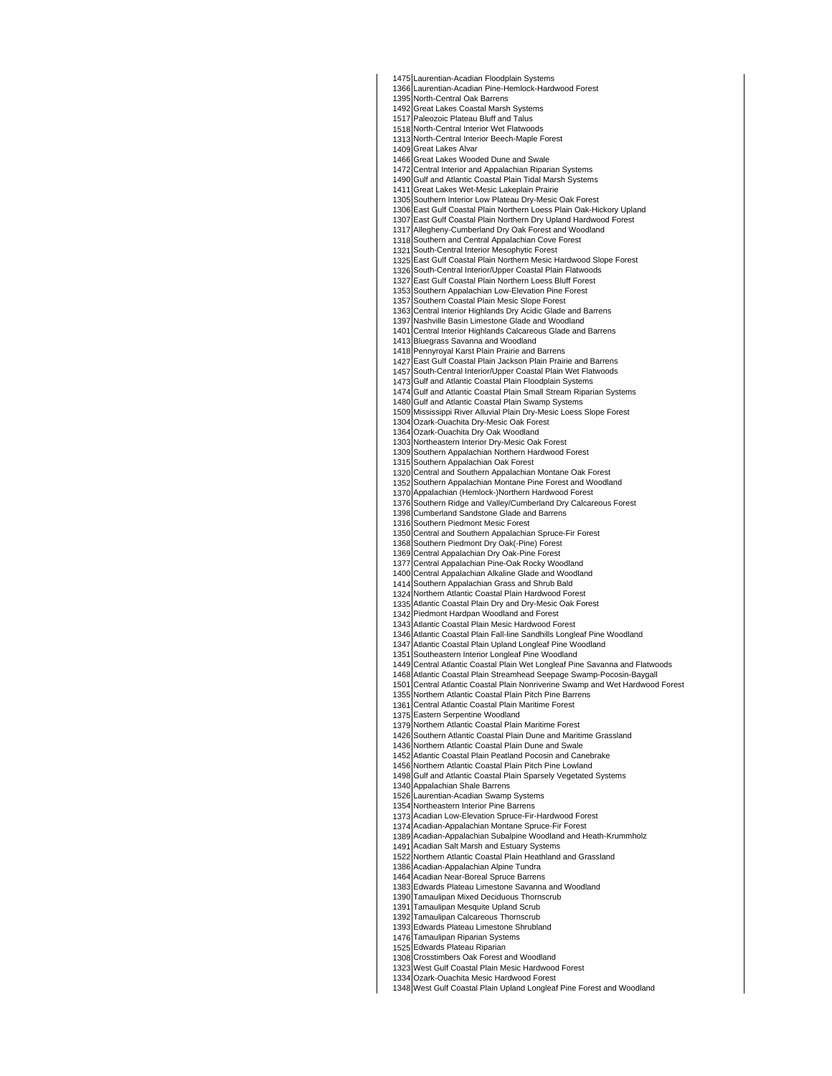Laurentian-Acadian Pine-Hemlock-Hardwood Forest North-Central Interior Beech-Maple Forest Great Lakes Alvar Great Lakes Wooded Dune and Swale Central Interior and Appalachian Riparian Systems East Gulf Coastal Plain Northern Loess Plain Oak-Hickory Upland East Gulf Coastal Plain Northern Mesic Hardwood Slope Forest Southern Appalachian Low-Elevation Pine Forest Central Interior Highlands Dry Acidic Glade and Barrens Central Interior Highlands Calcareous Glade and Barrens Bluegrass Savanna and Woodland East Gulf Coastal Plain Jackson Plain Prairie and Barrens Gulf and Atlantic Coastal Plain Floodplain Systems Gulf and Atlantic Coastal Plain Small Stream Riparian Systems Mississippi River Alluvial Plain Dry-Mesic Loess Slope Forest Ozark-Ouachita Dry-Mesic Oak Forest Ozark-Ouachita Dry Oak Woodland Northeastern Interior Dry-Mesic Oak Forest Southern Appalachian Northern Hardwood Forest Southern Appalachian Oak Forest Southern Appalachian Montane Pine Forest and Woodland Appalachian (Hemlock-)Northern Hardwood Forest Southern Ridge and Valley/Cumberland Dry Calcareous Forest Central and Southern Appalachian Spruce-Fir Forest Central Appalachian Dry Oak-Pine Forest Southern Appalachian Grass and Shrub Bald Northern Atlantic Coastal Plain Hardwood Forest 1342 Atlantic Coastal Plain Dry and Dry-Mesic Oak Forest Piedmont Hardpan Woodland and Forest Atlantic Coastal Plain Fall-line Sandhills Longleaf Pine Woodland Central Atlantic Coastal Plain Wet Longleaf Pine Savanna and Flatwoods Atlantic Coastal Plain Streamhead Seepage Swamp-Pocosin-Baygall Northern Atlantic Coastal Plain Pitch Pine Barrens Central Atlantic Coastal Plain Maritime Forest Eastern Serpentine Woodland Northern Atlantic Coastal Plain Maritime Forest Atlantic Coastal Plain Peatland Pocosin and Canebrake Gulf and Atlantic Coastal Plain Sparsely Vegetated Systems Appalachian Shale Barrens Northeastern Interior Pine Barrens Acadian Low-Elevation Spruce-Fir-Hardwood Forest Acadian-Appalachian Montane Spruce-Fir Forest Northern Atlantic Coastal Plain Heathland and Grassland Acadian Near-Boreal Spruce Barrens Edwards Plateau Limestone Shrubland Edwards Plateau Riparian Crosstimbers Oak Forest and Woodland North-Central Oak Barrens Great Lakes Coastal Marsh Systems Paleozoic Plateau Bluff and Talus North-Central Interior Wet Flatwoods Gulf and Atlantic Coastal Plain Tidal Marsh Systems Great Lakes Wet-Mesic Lakeplain Prairie Southern Interior Low Plateau Dry-Mesic Oak Forest East Gulf Coastal Plain Northern Dry Upland Hardwood Forest Allegheny-Cumberland Dry Oak Forest and Woodland Southern and Central Appalachian Cove Forest South-Central Interior Mesophytic Forest South-Central Interior/Upper Coastal Plain Flatwoods East Gulf Coastal Plain Northern Loess Bluff Forest Southern Coastal Plain Mesic Slope Forest Nashville Basin Limestone Glade and Woodland Pennyroyal Karst Plain Prairie and Barrens South-Central Interior/Upper Coastal Plain Wet Flatwoods Gulf and Atlantic Coastal Plain Swamp Systems Central and Southern Appalachian Montane Oak Forest Cumberland Sandstone Glade and Barrens Southern Piedmont Mesic Forest Southern Piedmont Dry Oak(-Pine) Forest Central Appalachian Pine-Oak Rocky Woodland Central Appalachian Alkaline Glade and Woodland Atlantic Coastal Plain Mesic Hardwood Forest Atlantic Coastal Plain Upland Longleaf Pine Woodland Southeastern Interior Longleaf Pine Woodland Central Atlantic Coastal Plain Nonriverine Swamp and Wet Hardwood Forest Southern Atlantic Coastal Plain Dune and Maritime Grassland Northern Atlantic Coastal Plain Dune and Swale Northern Atlantic Coastal Plain Pitch Pine Lowland Laurentian-Acadian Swamp Systems Acadian-Appalachian Subalpine Woodland and Heath-Krummholz Acadian Salt Marsh and Estuary Systems Acadian-Appalachian Alpine Tundra Edwards Plateau Limestone Savanna and Woodland Tamaulipan Mixed Deciduous Thornscrub Tamaulipan Mesquite Upland Scrub Tamaulipan Calcareous Thornscrub Tamaulipan Riparian Systems

Laurentian-Acadian Floodplain Systems

West Gulf Coastal Plain Mesic Hardwood Forest

Ozark-Ouachita Mesic Hardwood Forest

West Gulf Coastal Plain Upland Longleaf Pine Forest and Woodland